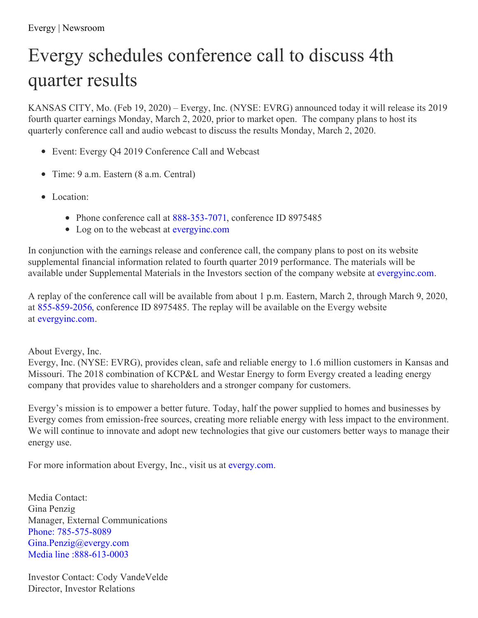## Evergy schedules conference call to discuss 4th quarter results

KANSAS CITY, Mo. (Feb 19, 2020) – Evergy, Inc. (NYSE: EVRG) announced today it will release its 2019 fourth quarter earnings Monday, March 2, 2020, prior to market open. The company plans to host its quarterly conference call and audio webcast to discuss the results Monday, March 2, 2020.

- Event: Evergy Q4 2019 Conference Call and Webcast
- Time: 9 a.m. Eastern (8 a.m. Central)
- Location:
	- Phone conference call at [888-353-7071](tel:888-353-7071), conference ID 8975485
	- Log on to the webcast at [evergyinc.com](http://www.evergyinc.com/)

In conjunction with the earnings release and conference call, the company plans to post on its website supplemental financial information related to fourth quarter 2019 performance. The materials will be available under Supplemental Materials in the Investors section of the company website at [evergyinc.com](http://www.evergyinc.com/).

A replay of the conference call will be available from about 1 p.m. Eastern, March 2, through March 9, 2020, at [855-859-2056](tel: 855-859-2056), conference ID 8975485. The replay will be available on the Evergy website at [evergyinc.com](http://www.evergyinc.com/).

## About Evergy, Inc.

Evergy, Inc. (NYSE: EVRG), provides clean, safe and reliable energy to 1.6 million customers in Kansas and Missouri. The 2018 combination of KCP&L and Westar Energy to form Evergy created a leading energy company that provides value to shareholders and a stronger company for customers.

Evergy's mission is to empower a better future. Today, half the power supplied to homes and businesses by Evergy comes from emission-free sources, creating more reliable energy with less impact to the environment. We will continue to innovate and adopt new technologies that give our customers better ways to manage their energy use.

For more information about Evergy, Inc., visit us at [evergy.com](https://www.evergy.com/).

Media Contact: Gina Penzig Manager, External Communications Phone: [785-575-8089](tel:785-575-8089) [Gina.Penzig@evergy.com](mailto:Gina.Penzig@evergy.com) Media line [:888-613-0003](tel:888-613-0003)

Investor Contact: Cody VandeVelde Director, Investor Relations